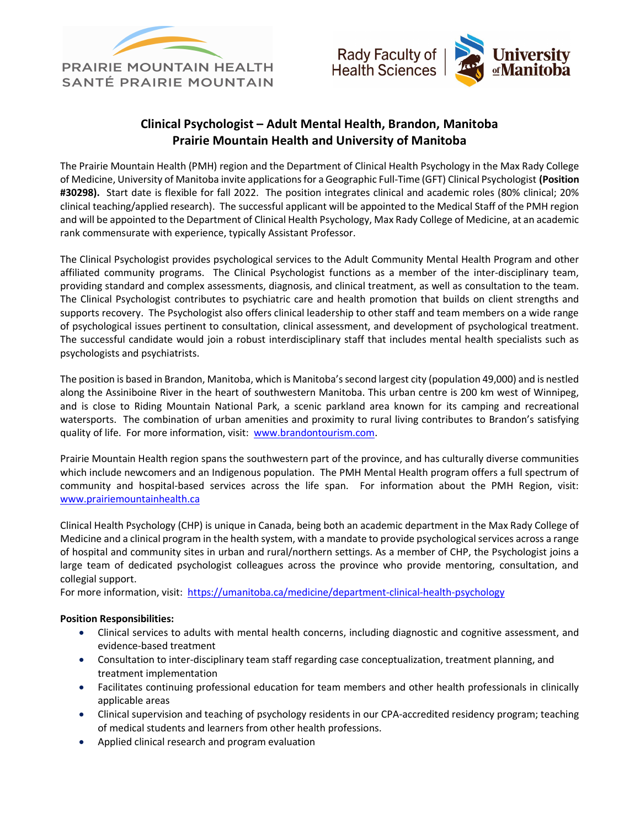



## Clinical Psychologist – Adult Mental Health, Brandon, Manitoba Prairie Mountain Health and University of Manitoba

The Prairie Mountain Health (PMH) region and the Department of Clinical Health Psychology in the Max Rady College of Medicine, University of Manitoba invite applications for a Geographic Full-Time (GFT) Clinical Psychologist (Position #30298). Start date is flexible for fall 2022. The position integrates clinical and academic roles (80% clinical; 20% clinical teaching/applied research). The successful applicant will be appointed to the Medical Staff of the PMH region and will be appointed to the Department of Clinical Health Psychology, Max Rady College of Medicine, at an academic rank commensurate with experience, typically Assistant Professor.

The Clinical Psychologist provides psychological services to the Adult Community Mental Health Program and other affiliated community programs. The Clinical Psychologist functions as a member of the inter-disciplinary team, providing standard and complex assessments, diagnosis, and clinical treatment, as well as consultation to the team. The Clinical Psychologist contributes to psychiatric care and health promotion that builds on client strengths and supports recovery. The Psychologist also offers clinical leadership to other staff and team members on a wide range of psychological issues pertinent to consultation, clinical assessment, and development of psychological treatment. The successful candidate would join a robust interdisciplinary staff that includes mental health specialists such as psychologists and psychiatrists.

The position is based in Brandon, Manitoba, which is Manitoba's second largest city (population 49,000) and is nestled along the Assiniboine River in the heart of southwestern Manitoba. This urban centre is 200 km west of Winnipeg, and is close to Riding Mountain National Park, a scenic parkland area known for its camping and recreational watersports. The combination of urban amenities and proximity to rural living contributes to Brandon's satisfying quality of life. For more information, visit: www.brandontourism.com.

Prairie Mountain Health region spans the southwestern part of the province, and has culturally diverse communities which include newcomers and an Indigenous population. The PMH Mental Health program offers a full spectrum of community and hospital-based services across the life span. For information about the PMH Region, visit: www.prairiemountainhealth.ca

Clinical Health Psychology (CHP) is unique in Canada, being both an academic department in the Max Rady College of Medicine and a clinical program in the health system, with a mandate to provide psychological services across a range of hospital and community sites in urban and rural/northern settings. As a member of CHP, the Psychologist joins a large team of dedicated psychologist colleagues across the province who provide mentoring, consultation, and collegial support.

For more information, visit: https://umanitoba.ca/medicine/department-clinical-health-psychology

## Position Responsibilities:

- Clinical services to adults with mental health concerns, including diagnostic and cognitive assessment, and evidence-based treatment
- Consultation to inter-disciplinary team staff regarding case conceptualization, treatment planning, and treatment implementation
- Facilitates continuing professional education for team members and other health professionals in clinically applicable areas
- Clinical supervision and teaching of psychology residents in our CPA-accredited residency program; teaching of medical students and learners from other health professions.
- Applied clinical research and program evaluation